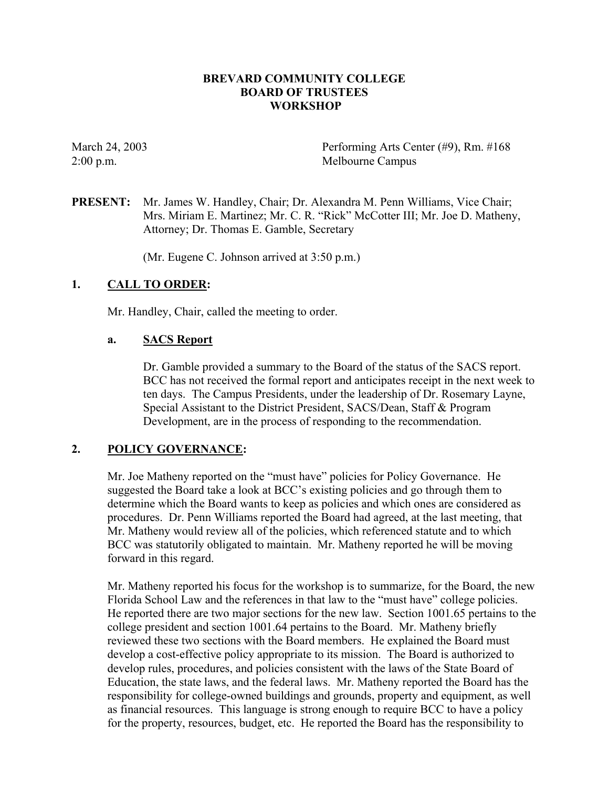### **BREVARD COMMUNITY COLLEGE BOARD OF TRUSTEES WORKSHOP**

March 24, 2003 Performing Arts Center (#9), Rm. #168 2:00 p.m. Melbourne Campus

**PRESENT:** Mr. James W. Handley, Chair; Dr. Alexandra M. Penn Williams, Vice Chair; Mrs. Miriam E. Martinez; Mr. C. R. "Rick" McCotter III; Mr. Joe D. Matheny, Attorney; Dr. Thomas E. Gamble, Secretary

(Mr. Eugene C. Johnson arrived at 3:50 p.m.)

### **1. CALL TO ORDER:**

Mr. Handley, Chair, called the meeting to order.

### **a. SACS Report**

Dr. Gamble provided a summary to the Board of the status of the SACS report. BCC has not received the formal report and anticipates receipt in the next week to ten days. The Campus Presidents, under the leadership of Dr. Rosemary Layne, Special Assistant to the District President, SACS/Dean, Staff & Program Development, are in the process of responding to the recommendation.

### **2. POLICY GOVERNANCE:**

Mr. Joe Matheny reported on the "must have" policies for Policy Governance. He suggested the Board take a look at BCC's existing policies and go through them to determine which the Board wants to keep as policies and which ones are considered as procedures. Dr. Penn Williams reported the Board had agreed, at the last meeting, that Mr. Matheny would review all of the policies, which referenced statute and to which BCC was statutorily obligated to maintain. Mr. Matheny reported he will be moving forward in this regard.

Mr. Matheny reported his focus for the workshop is to summarize, for the Board, the new Florida School Law and the references in that law to the "must have" college policies. He reported there are two major sections for the new law. Section 1001.65 pertains to the college president and section 1001.64 pertains to the Board. Mr. Matheny briefly reviewed these two sections with the Board members. He explained the Board must develop a cost-effective policy appropriate to its mission. The Board is authorized to develop rules, procedures, and policies consistent with the laws of the State Board of Education, the state laws, and the federal laws. Mr. Matheny reported the Board has the responsibility for college-owned buildings and grounds, property and equipment, as well as financial resources. This language is strong enough to require BCC to have a policy for the property, resources, budget, etc. He reported the Board has the responsibility to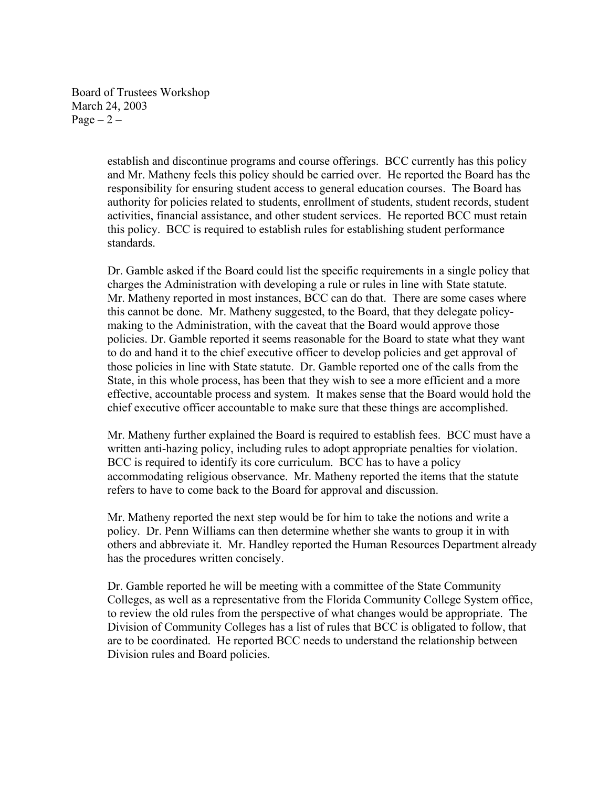Board of Trustees Workshop March 24, 2003 Page  $-2$  –

> establish and discontinue programs and course offerings. BCC currently has this policy and Mr. Matheny feels this policy should be carried over. He reported the Board has the responsibility for ensuring student access to general education courses. The Board has authority for policies related to students, enrollment of students, student records, student activities, financial assistance, and other student services. He reported BCC must retain this policy. BCC is required to establish rules for establishing student performance standards.

> Dr. Gamble asked if the Board could list the specific requirements in a single policy that charges the Administration with developing a rule or rules in line with State statute. Mr. Matheny reported in most instances, BCC can do that. There are some cases where this cannot be done. Mr. Matheny suggested, to the Board, that they delegate policymaking to the Administration, with the caveat that the Board would approve those policies. Dr. Gamble reported it seems reasonable for the Board to state what they want to do and hand it to the chief executive officer to develop policies and get approval of those policies in line with State statute. Dr. Gamble reported one of the calls from the State, in this whole process, has been that they wish to see a more efficient and a more effective, accountable process and system. It makes sense that the Board would hold the chief executive officer accountable to make sure that these things are accomplished.

> Mr. Matheny further explained the Board is required to establish fees. BCC must have a written anti-hazing policy, including rules to adopt appropriate penalties for violation. BCC is required to identify its core curriculum. BCC has to have a policy accommodating religious observance. Mr. Matheny reported the items that the statute refers to have to come back to the Board for approval and discussion.

Mr. Matheny reported the next step would be for him to take the notions and write a policy. Dr. Penn Williams can then determine whether she wants to group it in with others and abbreviate it. Mr. Handley reported the Human Resources Department already has the procedures written concisely.

Dr. Gamble reported he will be meeting with a committee of the State Community Colleges, as well as a representative from the Florida Community College System office, to review the old rules from the perspective of what changes would be appropriate. The Division of Community Colleges has a list of rules that BCC is obligated to follow, that are to be coordinated. He reported BCC needs to understand the relationship between Division rules and Board policies.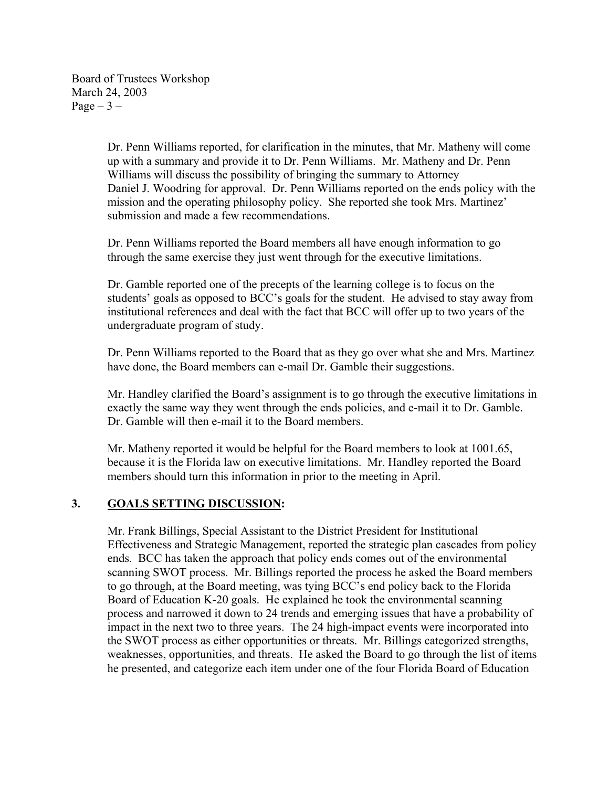Board of Trustees Workshop March 24, 2003 Page  $-3$  –

> Dr. Penn Williams reported, for clarification in the minutes, that Mr. Matheny will come up with a summary and provide it to Dr. Penn Williams. Mr. Matheny and Dr. Penn Williams will discuss the possibility of bringing the summary to Attorney Daniel J. Woodring for approval. Dr. Penn Williams reported on the ends policy with the mission and the operating philosophy policy. She reported she took Mrs. Martinez' submission and made a few recommendations.

Dr. Penn Williams reported the Board members all have enough information to go through the same exercise they just went through for the executive limitations.

 Dr. Gamble reported one of the precepts of the learning college is to focus on the students' goals as opposed to BCC's goals for the student. He advised to stay away from institutional references and deal with the fact that BCC will offer up to two years of the undergraduate program of study.

Dr. Penn Williams reported to the Board that as they go over what she and Mrs. Martinez have done, the Board members can e-mail Dr. Gamble their suggestions.

Mr. Handley clarified the Board's assignment is to go through the executive limitations in exactly the same way they went through the ends policies, and e-mail it to Dr. Gamble. Dr. Gamble will then e-mail it to the Board members.

Mr. Matheny reported it would be helpful for the Board members to look at 1001.65, because it is the Florida law on executive limitations. Mr. Handley reported the Board members should turn this information in prior to the meeting in April.

# **3. GOALS SETTING DISCUSSION:**

Mr. Frank Billings, Special Assistant to the District President for Institutional Effectiveness and Strategic Management, reported the strategic plan cascades from policy ends. BCC has taken the approach that policy ends comes out of the environmental scanning SWOT process. Mr. Billings reported the process he asked the Board members to go through, at the Board meeting, was tying BCC's end policy back to the Florida Board of Education K-20 goals. He explained he took the environmental scanning process and narrowed it down to 24 trends and emerging issues that have a probability of impact in the next two to three years. The 24 high-impact events were incorporated into the SWOT process as either opportunities or threats. Mr. Billings categorized strengths, weaknesses, opportunities, and threats. He asked the Board to go through the list of items he presented, and categorize each item under one of the four Florida Board of Education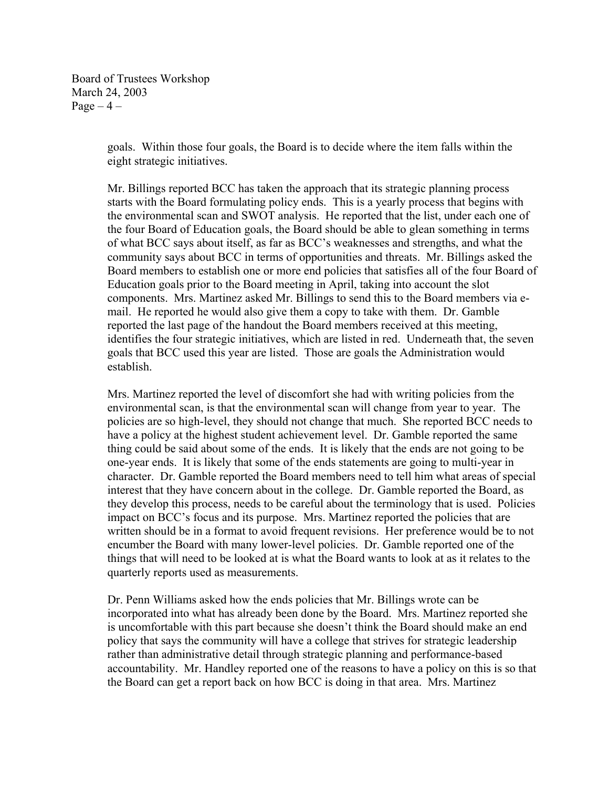Board of Trustees Workshop March 24, 2003 Page  $-4$  –

> goals. Within those four goals, the Board is to decide where the item falls within the eight strategic initiatives.

Mr. Billings reported BCC has taken the approach that its strategic planning process starts with the Board formulating policy ends. This is a yearly process that begins with the environmental scan and SWOT analysis. He reported that the list, under each one of the four Board of Education goals, the Board should be able to glean something in terms of what BCC says about itself, as far as BCC's weaknesses and strengths, and what the community says about BCC in terms of opportunities and threats. Mr. Billings asked the Board members to establish one or more end policies that satisfies all of the four Board of Education goals prior to the Board meeting in April, taking into account the slot components. Mrs. Martinez asked Mr. Billings to send this to the Board members via email. He reported he would also give them a copy to take with them. Dr. Gamble reported the last page of the handout the Board members received at this meeting, identifies the four strategic initiatives, which are listed in red. Underneath that, the seven goals that BCC used this year are listed. Those are goals the Administration would establish.

Mrs. Martinez reported the level of discomfort she had with writing policies from the environmental scan, is that the environmental scan will change from year to year. The policies are so high-level, they should not change that much. She reported BCC needs to have a policy at the highest student achievement level. Dr. Gamble reported the same thing could be said about some of the ends. It is likely that the ends are not going to be one-year ends. It is likely that some of the ends statements are going to multi-year in character. Dr. Gamble reported the Board members need to tell him what areas of special interest that they have concern about in the college. Dr. Gamble reported the Board, as they develop this process, needs to be careful about the terminology that is used. Policies impact on BCC's focus and its purpose. Mrs. Martinez reported the policies that are written should be in a format to avoid frequent revisions. Her preference would be to not encumber the Board with many lower-level policies. Dr. Gamble reported one of the things that will need to be looked at is what the Board wants to look at as it relates to the quarterly reports used as measurements.

Dr. Penn Williams asked how the ends policies that Mr. Billings wrote can be incorporated into what has already been done by the Board. Mrs. Martinez reported she is uncomfortable with this part because she doesn't think the Board should make an end policy that says the community will have a college that strives for strategic leadership rather than administrative detail through strategic planning and performance-based accountability. Mr. Handley reported one of the reasons to have a policy on this is so that the Board can get a report back on how BCC is doing in that area. Mrs. Martinez